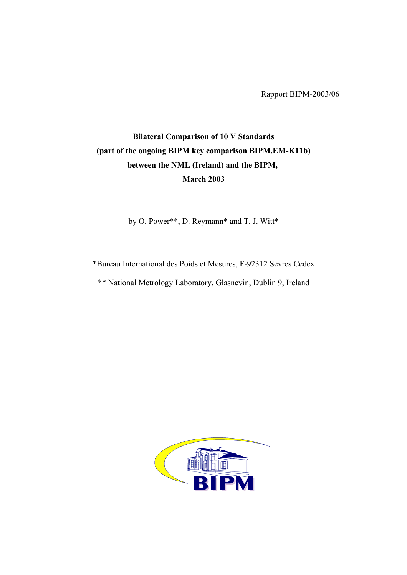Rapport BIPM-2003/06

## **Bilateral Comparison of 10 V Standards (part of the ongoing BIPM key comparison BIPM.EM-K11b) between the NML (Ireland) and the BIPM, March 2003**

by O. Power\*\*, D. Reymann\* and T. J. Witt\*

\*Bureau International des Poids et Mesures, F-92312 Sèvres Cedex

\*\* National Metrology Laboratory, Glasnevin, Dublin 9, Ireland

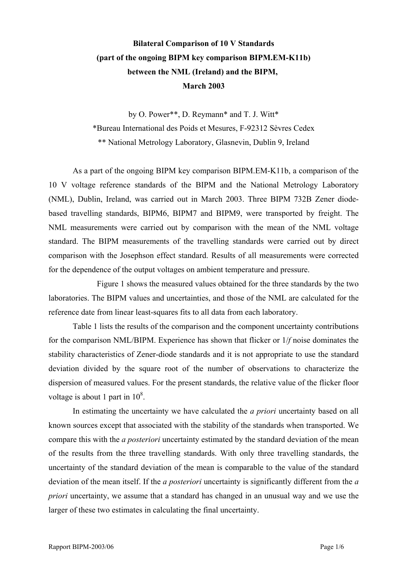## **Bilateral Comparison of 10 V Standards (part of the ongoing BIPM key comparison BIPM.EM-K11b) between the NML (Ireland) and the BIPM, March 2003**

by O. Power\*\*, D. Reymann\* and T. J. Witt\* \*Bureau International des Poids et Mesures, F-92312 Sèvres Cedex \*\* National Metrology Laboratory, Glasnevin, Dublin 9, Ireland

As a part of the ongoing BIPM key comparison BIPM.EM-K11b, a comparison of the 10 V voltage reference standards of the BIPM and the National Metrology Laboratory (NML), Dublin, Ireland, was carried out in March 2003. Three BIPM 732B Zener diodebased travelling standards, BIPM6, BIPM7 and BIPM9, were transported by freight. The NML measurements were carried out by comparison with the mean of the NML voltage standard. The BIPM measurements of the travelling standards were carried out by direct comparison with the Josephson effect standard. Results of all measurements were corrected for the dependence of the output voltages on ambient temperature and pressure.

Figure 1 shows the measured values obtained for the three standards by the two laboratories. The BIPM values and uncertainties, and those of the NML are calculated for the reference date from linear least-squares fits to all data from each laboratory.

Table 1 lists the results of the comparison and the component uncertainty contributions for the comparison NML/BIPM. Experience has shown that flicker or 1/*f* noise dominates the stability characteristics of Zener-diode standards and it is not appropriate to use the standard deviation divided by the square root of the number of observations to characterize the dispersion of measured values. For the present standards, the relative value of the flicker floor voltage is about 1 part in  $10^8$ .

In estimating the uncertainty we have calculated the *a priori* uncertainty based on all known sources except that associated with the stability of the standards when transported. We compare this with the *a posteriori* uncertainty estimated by the standard deviation of the mean of the results from the three travelling standards. With only three travelling standards, the uncertainty of the standard deviation of the mean is comparable to the value of the standard deviation of the mean itself. If the *a posteriori* uncertainty is significantly different from the *a priori* uncertainty, we assume that a standard has changed in an unusual way and we use the larger of these two estimates in calculating the final uncertainty.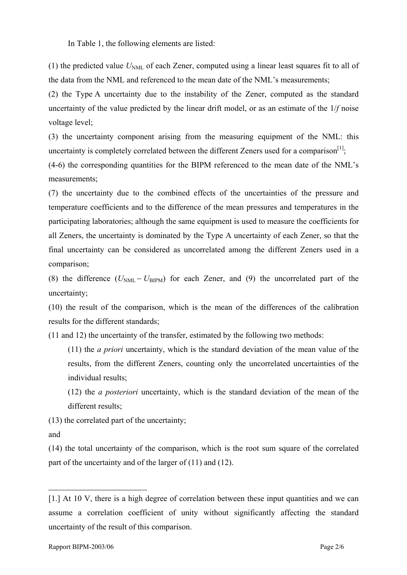In Table 1, the following elements are listed:

(1) the predicted value  $U_{NML}$  of each Zener, computed using a linear least squares fit to all of the data from the NML and referenced to the mean date of the NML's measurements;

(2) the Type A uncertainty due to the instability of the Zener, computed as the standard uncertainty of the value predicted by the linear drift model, or as an estimate of the 1/*f* noise voltage level;

(3) the uncertainty component arising from the measuring equipment of the NML: this uncertainty is completely correlated between the different Zeners used for a comparison<sup>[1]</sup>;

(4-6) the corresponding quantities for the BIPM referenced to the mean date of the NML's measurements;

(7) the uncertainty due to the combined effects of the uncertainties of the pressure and temperature coefficients and to the difference of the mean pressures and temperatures in the participating laboratories; although the same equipment is used to measure the coefficients for all Zeners, the uncertainty is dominated by the Type A uncertainty of each Zener, so that the final uncertainty can be considered as uncorrelated among the different Zeners used in a comparison;

(8) the difference  $(U_{NML} - U_{BIPM})$  for each Zener, and (9) the uncorrelated part of the uncertainty;

(10) the result of the comparison, which is the mean of the differences of the calibration results for the different standards;

(11 and 12) the uncertainty of the transfer, estimated by the following two methods:

(11) the *a priori* uncertainty, which is the standard deviation of the mean value of the results, from the different Zeners, counting only the uncorrelated uncertainties of the individual results;

(12) the *a posteriori* uncertainty, which is the standard deviation of the mean of the different results;

(13) the correlated part of the uncertainty;

and

 $\overline{a}$ 

(14) the total uncertainty of the comparison, which is the root sum square of the correlated part of the uncertainty and of the larger of (11) and (12).

<span id="page-2-0"></span><sup>[1.]</sup> At 10 V, there is a high degree of correlation between these input quantities and we can assume a correlation coefficient of unity without significantly affecting the standard uncertainty of the result of this comparison.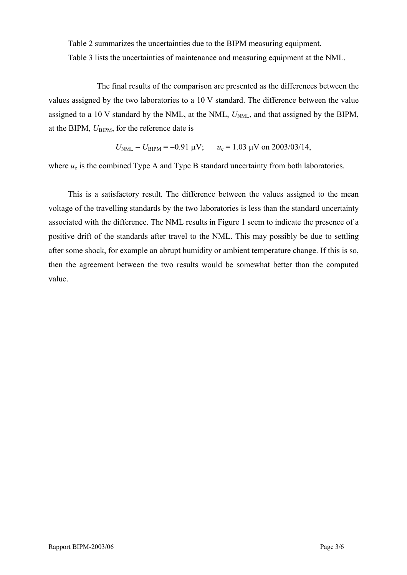Table 2 summarizes the uncertainties due to the BIPM measuring equipment. Table 3 lists the uncertainties of maintenance and measuring equipment at the NML.

The final results of the comparison are presented as the differences between the values assigned by the two laboratories to a 10 V standard. The difference between the value assigned to a 10 V standard by the NML, at the NML,  $U<sub>NML</sub>$ , and that assigned by the BIPM, at the BIPM,  $U_{\text{BIPM}}$ , for the reference date is

$$
U_{\text{NML}} - U_{\text{BIPM}} = -0.91 \text{ }\mu\text{V};
$$
  $u_c = 1.03 \text{ }\mu\text{V}$  on 2003/03/14,

where  $u_c$  is the combined Type A and Type B standard uncertainty from both laboratories.

This is a satisfactory result. The difference between the values assigned to the mean voltage of the travelling standards by the two laboratories is less than the standard uncertainty associated with the difference. The NML results in Figure 1 seem to indicate the presence of a positive drift of the standards after travel to the NML. This may possibly be due to settling after some shock, for example an abrupt humidity or ambient temperature change. If this is so, then the agreement between the two results would be somewhat better than the computed value.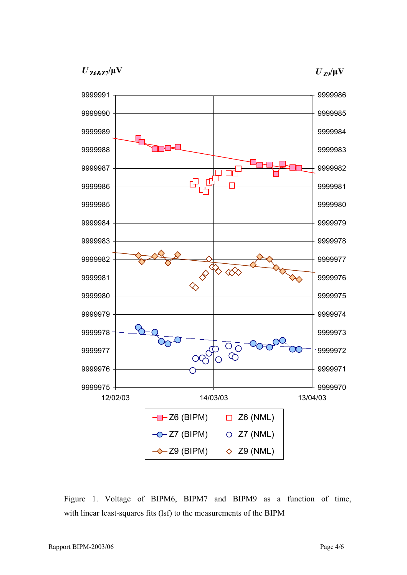$U_{Z68Z7}/\mu$ V





Figure 1. Voltage of BIPM6, BIPM7 and BIPM9 as a function of time, with linear least-squares fits (lsf) to the measurements of the BIPM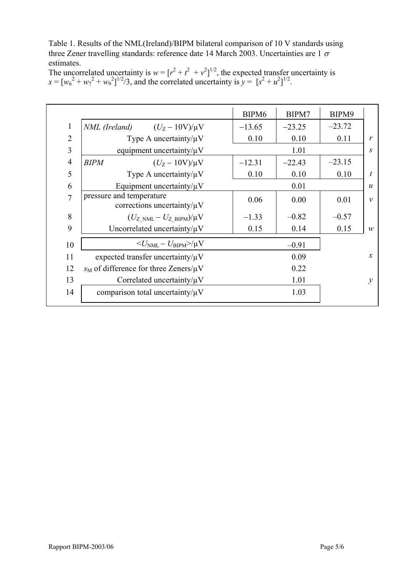Table 1. Results of the NML(Ireland)/BIPM bilateral comparison of 10 V standards using three Zener travelling standards: reference date 14 March 2003. Uncertainties are 1  $\sigma$ estimates.

| The uncorrelated uncertainty is $w = [r^2 + t^2 + v^2]^{1/2}$ , the expected transfer uncertainty is |
|------------------------------------------------------------------------------------------------------|
| $x = [w_0^2 + w_1^2 + w_2^2]^{1/2}/3$ , and the correlated uncertainty is $y = [s^2 + u^2]^{1/2}$ .  |

|                |                                                              | BIPM <sub>6</sub> | BIPM7    | BIPM9    |                  |
|----------------|--------------------------------------------------------------|-------------------|----------|----------|------------------|
| $\mathbf{1}$   | <i>NML</i> (Ireland) $(U_Z - 10V)/\mu V$                     | $-13.65$          | $-23.25$ | $-23.72$ |                  |
| $\overline{2}$ | Type A uncertainty/ $\mu$ V                                  | 0.10              | 0.10     | 0.11     | r                |
| 3              | equipment uncertainty/ $\mu$ V                               | 1.01              |          |          | S                |
| 4              | <b>BIPM</b><br>$(U_{Z} - 10V)/\mu V$                         | $-12.31$          | $-22.43$ | $-23.15$ |                  |
| 5              | Type A uncertainty/ $\mu$ V                                  | 0.10              | 0.10     | 0.10     | $\boldsymbol{t}$ |
| 6              | Equipment uncertainty/ $\mu$ V                               |                   | 0.01     |          | $\boldsymbol{u}$ |
| $\overline{7}$ | pressure and temperature<br>corrections uncertainty/ $\mu$ V | 0.06              | 0.00     | 0.01     | $\mathcal V$     |
| 8              | $(U_{Z>NML}-U_{ZBIPM})/\mu V$                                | $-1.33$           | $-0.82$  | $-0.57$  |                  |
| 9              | Uncorrelated uncertainty/ $\mu$ V                            | 0.15              | 0.14     | 0.15     | W                |
| 10             | $\langle U_{\rm NML} - U_{\rm BIPM} \rangle / \mu V$         |                   | $-0.91$  |          |                  |
| 11             | expected transfer uncertainty/ $\mu$ V                       |                   | 0.09     |          | $\mathcal{X}$    |
| 12             | $s_M$ of difference for three Zeners/ $\mu$ V                |                   | 0.22     |          |                  |
| 13             | Correlated uncertainty/ $\mu$ V                              |                   | 1.01     |          | $\mathcal{Y}$    |
| 14             | comparison total uncertainty/ $\mu$ V                        |                   | 1.03     |          |                  |